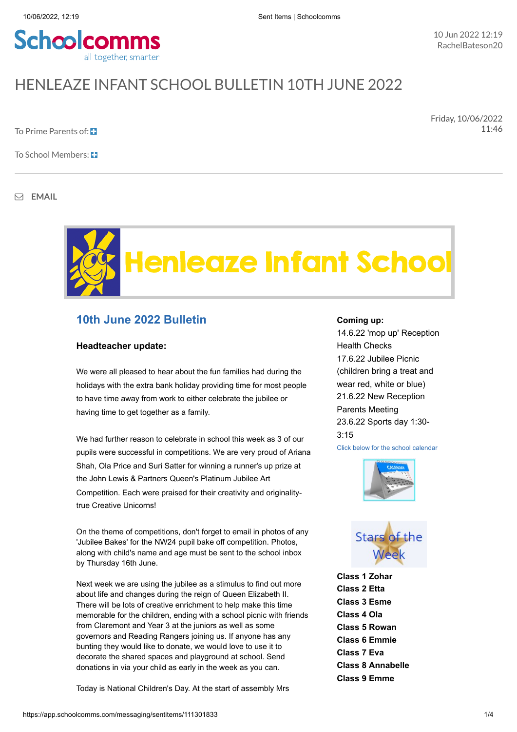

# HENI FAZE INFANT SCHOOL BULLETIN 10TH JUNE 2022

To Prime Parents of:

Friday, 10/06/2022 11:46

To School Members:  $\Box$ 

**EMAIL**



## **10th June 2022 Bulletin**

#### **Headteacher update:**

We were all pleased to hear about the fun families had during the holidays with the extra bank holiday providing time for most people to have time away from work to either celebrate the jubilee or having time to get together as a family.

We had further reason to celebrate in school this week as 3 of our pupils were successful in competitions. We are very proud of Ariana Shah, Ola Price and Suri Satter for winning a runner's up prize at the John Lewis & Partners Queen's Platinum Jubilee Art Competition. Each were praised for their creativity and originalitytrue Creative Unicorns!

On the theme of competitions, don't forget to email in photos of any 'Jubilee Bakes' for the NW24 pupil bake off competition. Photos, along with child's name and age must be sent to the school inbox by Thursday 16th June.

Next week we are using the jubilee as a stimulus to find out more about life and changes during the reign of Queen Elizabeth II. There will be lots of creative enrichment to help make this time memorable for the children, ending with a school picnic with friends from Claremont and Year 3 at the juniors as well as some governors and Reading Rangers joining us. If anyone has any bunting they would like to donate, we would love to use it to decorate the shared spaces and playground at school. Send donations in via your child as early in the week as you can.

Today is National Children's Day. At the start of assembly Mrs

#### **Coming up:**

14.6.22 'mop up' Reception Health Checks 17.6.22 Jubilee Picnic (children bring a treat and wear red, white or blue) 21.6.22 New Reception Parents Meeting 23.6.22 Sports day 1:30-  $3.15$ 







**Class 1 Zohar Class 2 Etta Class 3 Esme Class 4 Ola Class 5 Rowan Class 6 Emmie Class 7 Eva Class 8 Annabelle Class 9 Emme**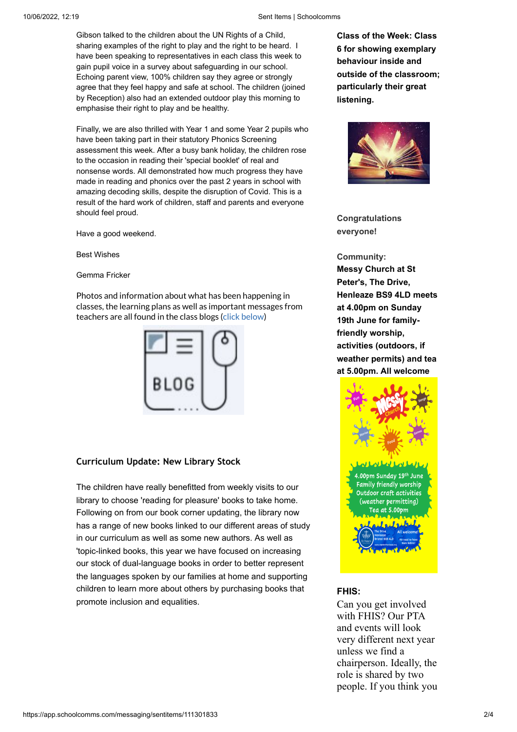#### 10/06/2022, 12:19 Sent Items | Schoolcomms

Gibson talked to the children about the UN Rights of a Child, sharing examples of the right to play and the right to be heard. I have been speaking to representatives in each class this week to gain pupil voice in a survey about safeguarding in our school. Echoing parent view, 100% children say they agree or strongly agree that they feel happy and safe at school. The children (joined by Reception) also had an extended outdoor play this morning to emphasise their right to play and be healthy.

Finally, we are also thrilled with Year 1 and some Year 2 pupils who have been taking part in their statutory Phonics Screening assessment this week. After a busy bank holiday, the children rose to the occasion in reading their 'special booklet' of real and nonsense words. All demonstrated how much progress they have made in reading and phonics over the past 2 years in school with amazing decoding skills, despite the disruption of Covid. This is a result of the hard work of children, staff and parents and everyone should feel proud.

Have a good weekend.

Best Wishes

Gemma Fricker

Photos and information about what has been happening in classes, the learning plans as well as important messages from teachers are all found in the class blogs (click below)



#### **Curriculum Update: New Library Stock**

The children have really benefitted from weekly visits to our library to choose 'reading for pleasure' books to take home. Following on from our book corner updating, the library now has a range of new books linked to our different areas of study in our curriculum as well as some new authors. As well as 'topic-linked books, this year we have focused on increasing our stock of dual-language books in order to better represent the languages spoken by our families at home and supporting children to learn more about others by purchasing books that promote inclusion and equalities.

**Class of the Week: Class 6 for showing exemplary behaviour inside and outside of the classroom; particularly their great listening.**



**Congratulations everyone!**

**Community: Messy Church at St Peter's, The Drive, Henleaze BS9 4LD meets at 4.00pm on Sunday 19th June for familyfriendly worship, activities (outdoors, if weather permits) and tea at 5.00pm. All welcome**



#### **FHIS:**

Can you get involved with FHIS? Our PTA and events will look very different next year unless we find a chairperson. Ideally, the role is shared by two people. If you think you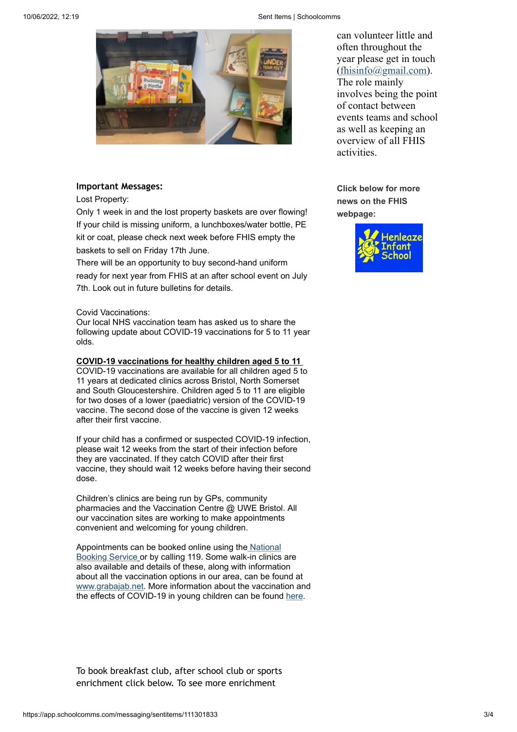10/06/2022, 12:19 Sent Items | Schoolcomms



### **Important Messages:**

Lost Property:

Only 1 week in and the lost property baskets are over flowing! If your child is missing uniform, a lunchboxes/water bottle, PE kit or coat, please check next week before FHIS empty the baskets to sell on Friday 17th June.

There will be an opportunity to buy second-hand uniform ready for next year from FHIS at an after school event on July 7th. Look out in future bulletins for details.

#### Covid Vaccinations:

Our local NHS vaccination team has asked us to share the following update about COVID-19 vaccinations for 5 to 11 year olds.

#### **COVID-19 vaccinations for healthy children aged 5 to 11**

COVID-19 vaccinations are available for all children aged 5 to 11 years at dedicated clinics across Bristol, North Somerset and South Gloucestershire. Children aged 5 to 11 are eligible for two doses of a lower (paediatric) version of the COVID-19 vaccine. The second dose of the vaccine is given 12 weeks after their first vaccine.

If your child has a confirmed or suspected COVID-19 infection, please wait 12 weeks from the start of their infection before they are vaccinated. If they catch COVID after their first vaccine, they should wait 12 weeks before having their second dose.

Children's clinics are being run by GPs, community pharmacies and the Vaccination Centre @ UWE Bristol. All our vaccination sites are working to make appointments convenient and welcoming for young children.

[Appointments can be booked online using the](https://urldefense.com/v3/__https:/www.nhs.uk/conditions/coronavirus-covid-19/coronavirus-vaccination/book-coronavirus-vaccination/__;!!KUxdu5-bBfnh!-KjV2f68MaoC33DyXtYhqOFCHgWK15u5B2opLAgNt_UNlTCjMHqmLPFZpczXrmDHKzPIrIPTKQrkgNB1R4kaGIEU6jcZMoQQnA$) National Booking Service or by calling 119. Some walk-in clinics are also available and details of these, along with information about all the vaccination options in our area, can be found at [www.grabajab.net.](https://urldefense.com/v3/__http:/www.grabajab.net__;!!KUxdu5-bBfnh!-KjV2f68MaoC33DyXtYhqOFCHgWK15u5B2opLAgNt_UNlTCjMHqmLPFZpczXrmDHKzPIrIPTKQrkgNB1R4kaGIEU6jdxEDthiQ$) More information about the vaccination and the effects of COVID-19 in young children can be found [here](https://urldefense.com/v3/__https:/www.gov.uk/government/publications/covid-19-vaccination-resources-for-children-aged-5-to-11-years__;!!KUxdu5-bBfnh!-KjV2f68MaoC33DyXtYhqOFCHgWK15u5B2opLAgNt_UNlTCjMHqmLPFZpczXrmDHKzPIrIPTKQrkgNB1R4kaGIEU6jd3mJTDXQ$).

To book breakfast club, after school club or sports enrichment click below. To see more enrichment

can volunteer little and often throughout the year please get in touch [\(fhisinfo@gmail.com](mailto:fhisinfo@gmail.com)). The role mainly involves being the point of contact between events teams and school as well as keeping an overview of all FHIS activities.

**Click below for more news on the FHIS webpage:**